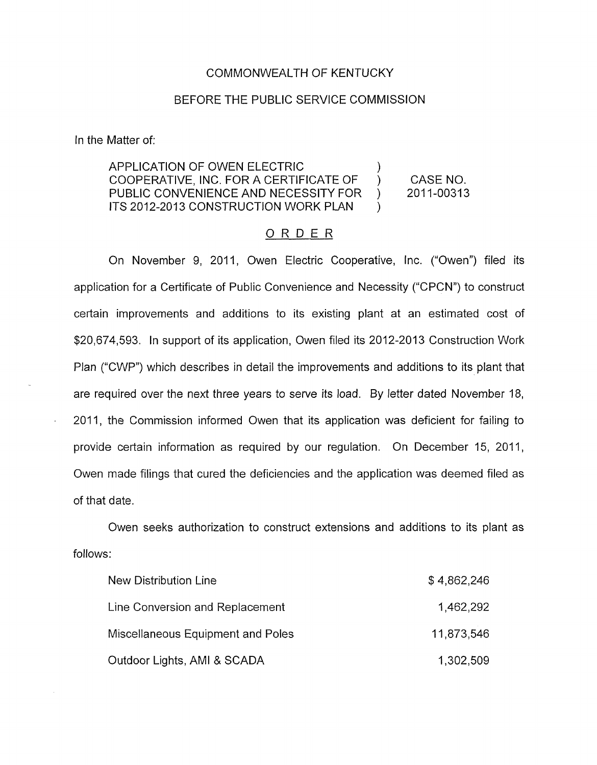#### COMMONWEALTH OF KENTUCKY

#### BEFORE THE PUBLIC SERVICE COMMISSION

In the Matter of:

# APPLICATION OF OWEN ELECTRIC (APPLICATION OF OWEN ELECTRIC (APPLICATE OF COOPERATIVE, INC. FOR A CERTIFICATE OF ) CASE NO.<br>PUBLIC CONVENIENCE AND NECESSITY FOR ) 2011-00313 PUBLIC CONVENIENCE AND NECESSITY FOR ) ITS 2012-2013 CONSTRUCTION WORK PLAN  $\rightarrow$

# ORDER

On November 9, 2011, Owen Electric Cooperative, Inc. ("Owen") filed its application for a Certificate of Public Convenience and Necessity ("CPCN") to construct certain improvements and additions to its existing plant at an estimated cost of \$20,674,593. In support of its application, Owen filed its 2012-2013 Construction Work Plan ("CWP") which describes in detail the improvements and additions to its plant that are required over the next three years to serve its load. By letter dated November 18, 2011, the Commission informed Owen that its application was deficient for failing to provide certain information as required by our regulation. On December 15, 2011, Owen made filings that cured the deficiencies and the application was deemed filed as of that date.

Owen seeks authorization to construct extensions and additions to its plant as follows:

| <b>New Distribution Line</b>      | \$4,862,246 |
|-----------------------------------|-------------|
| Line Conversion and Replacement   | 1,462,292   |
| Miscellaneous Equipment and Poles | 11,873,546  |
| Outdoor Lights, AMI & SCADA       | 1,302,509   |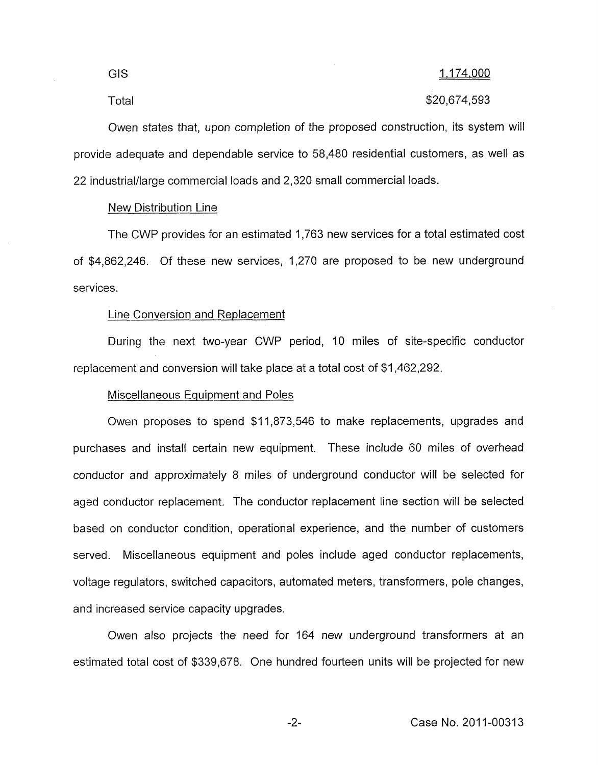# Total \$20,674,593

Owen states that, upon completion of the proposed construction, its system will provide adequate and dependable service to 58,480 residential customers, as well as 22 industrialllarge commercial loads and 2,320 small commercial loads.

### New Distribution Line

The CWP provides for an estimated 1,763 new services for a total estimated cost of \$4,862,246. Of these new services, 1,270 are proposed to be new underground services.

## Line Conversion and Replacement

During the next two-year CWP period, 10 miles of site-specific conductor replacement and conversion will take place at a total cost of \$1,462,292.

### Miscellaneous Equipment and Poles

Owen proposes to spend \$11,873,546 to make replacements, upgrades and purchases and install certain new equipment. These include 60 miles of overhead conductor and approximately 8 miles of underground conductor will be selected for aged conductor replacement. The conductor replacement line section will be selected based on conductor condition, operational experience, and the number of customers served. Miscellaneous equipment and poles include aged conductor replacements, voltage regulators, switched capacitors, automated meters, transformers, pole changes, and increased service capacity upgrades.

Owen also projects the need for 164 new underground transformers at an estimated total cost of \$339,678. One hundred fourteen units will be projected for new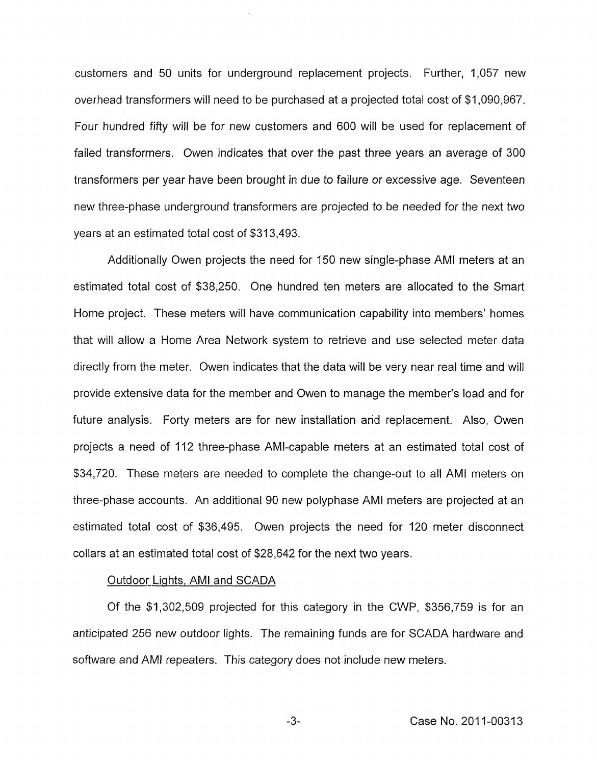customers and 50 units for underground replacement projects. Further, 1,057 new overhead transformers will need to be purchased at a projected total cost of \$1,090,967. Four hundred fifty will be for new customers and 600 will be used for replacement of failed transformers. Owen indicates that over the past three years an average of 300 transformers per year have been brought in due to failure or excessive age. Seventeen new three-phase underground transformers are projected to be needed for the next *two*  years at an estimated total cost of \$313,493.

Additionally Owen projects the need for 150 new single-phase AMI meters at an estimated total cost of \$38,250. One hundred ten meters are allocated to the Smart Home project. These meters will have communication capability into members' homes that will allow a Home Area Network system to retrieve and use selected meter data directly from the meter. Owen indicates that the data will be very near real time and will provide extensive data for the member and Owen to manage the member's load and for future analysis. Forty meters are for new installation and replacement. Also, Owen projects a need of 112 three-phase AMI-capable meters at an estimated total cost of \$34,720. These meters are needed to complete the change-out to all AMI meters on three-phase accounts. An additional 90 new polyphase AMI meters are projected at an estimated total cost of \$36,495. Owen projects the need for 120 meter disconnect collars at an estimated total cost of \$28,642 for the next two years.

# Outdoor Lights, AMI and SCADA

Of the \$1,302,509 projected for this category in the CWP, \$356,759 is for an anticipated 256 new outdoor lights. The remaining funds are for SCADA hardware and software and AMI repeaters. This category does not include new meters.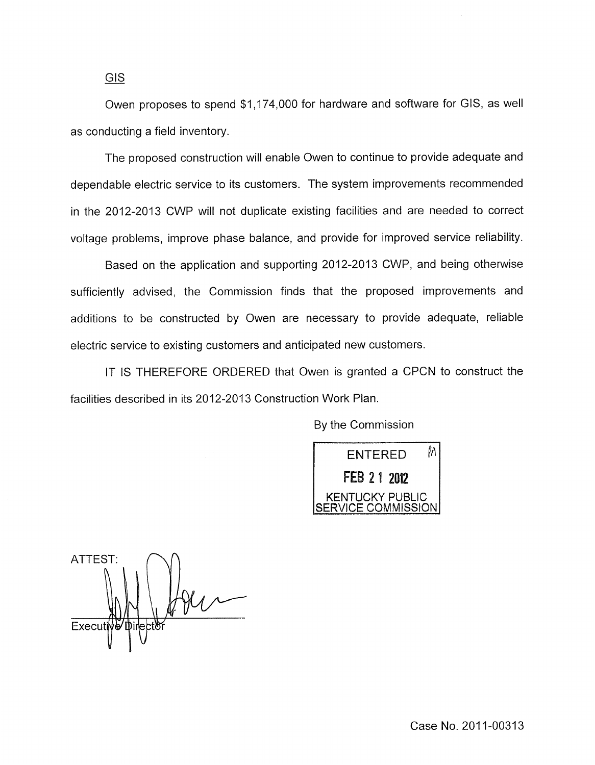Owen proposes to spend \$1,174,000 for hardware and software for GIs, as well as conducting a field inventory.

The proposed construction will enable Owen to continue to provide adequate and dependable electric service to its customers. The system improvements recommended in the 2012-2013 CWP will not duplicate existing facilities and are needed to correct voltage problems, improve phase balance, and provide for improved service reliability.

Based on the application and supporting 2012-2013 CWP, and being otherwise sufficiently advised, the Commission finds that the proposed improvements and additions to be constructed by Owen are necessary to provide adequate, reliable electric service to existing customers and anticipated new customers.

IT IS THEREFORE ORDERED that Owen is granted a CPCN to construct the facilities described in its 2012-2013 Construction Work Plan.

By the Commission



ATTEST: Execut I"

*GIS*